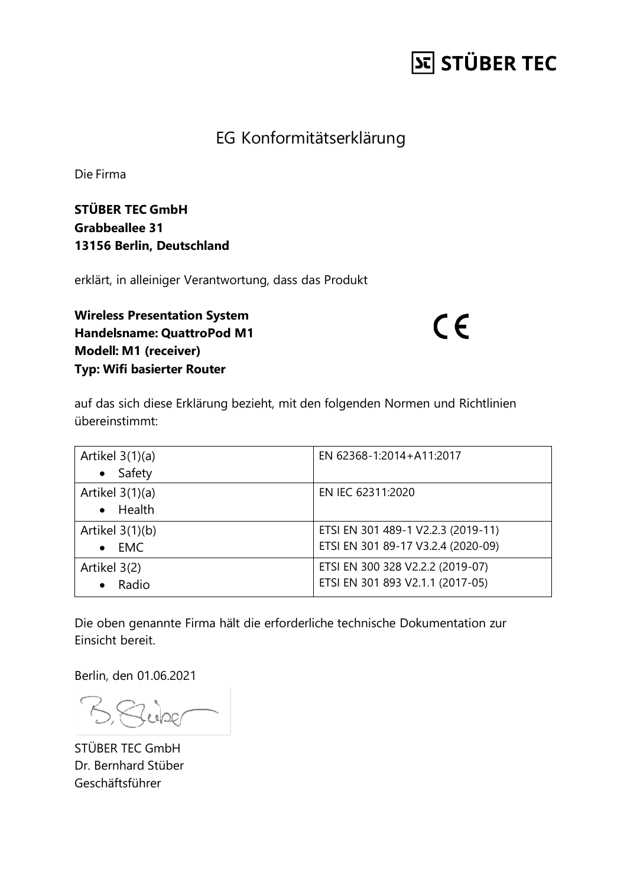## **St STÜBER TEC**

#### EG Konformitätserklärung

Die Firma

**STÜBER TEC GmbH Grabbeallee 31 13156 Berlin, Deutschland**

erklärt, in alleiniger Verantwortung, dass das Produkt

**Wireless Presentation System Handelsname: QuattroPod M1 Modell: M1 (receiver) Typ: Wifi basierter Router**

 $C \in$ 

auf das sich diese Erklärung bezieht, mit den folgenden Normen und Richtlinien übereinstimmt:

| Artikel $3(1)(a)$<br>Safety<br>$\bullet$     | EN 62368-1:2014+A11:2017                                                 |
|----------------------------------------------|--------------------------------------------------------------------------|
| Artikel $3(1)(a)$<br>Health<br>$\bullet$     | EN IEC 62311:2020                                                        |
| Artikel $3(1)(b)$<br><b>EMC</b><br>$\bullet$ | ETSI EN 301 489-1 V2.2.3 (2019-11)<br>ETSI EN 301 89-17 V3.2.4 (2020-09) |
| Artikel 3(2)<br>Radio                        | ETSI EN 300 328 V2.2.2 (2019-07)<br>ETSI EN 301 893 V2.1.1 (2017-05)     |

Die oben genannte Firma hält die erforderliche technische Dokumentation zur Einsicht bereit.

Berlin, den 01.06.2021

Buber

STÜBER TEC GmbH Dr. Bernhard Stüber Geschäftsführer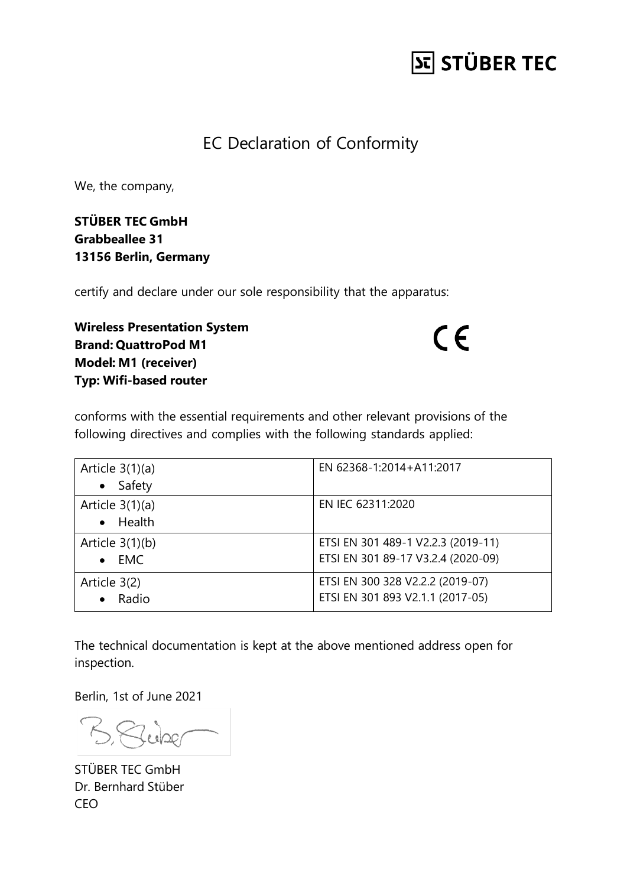## **St STÜBER TEC**

#### EC Declaration of Conformity

We, the company,

**STÜBER TEC GmbH Grabbeallee 31 13156 Berlin, Germany**

certify and declare under our sole responsibility that the apparatus:

**Wireless Presentation System Brand: QuattroPod M1 Model: M1 (receiver) Typ: Wifi-based router**

 $C \in$ 

conforms with the essential requirements and other relevant provisions of the following directives and complies with the following standards applied:

| Article $3(1)(a)$<br>Safety<br>$\bullet$     | EN 62368-1:2014+A11:2017                                                 |
|----------------------------------------------|--------------------------------------------------------------------------|
| Article $3(1)(a)$<br>$\bullet$ Health        | EN IEC 62311:2020                                                        |
| Article $3(1)(b)$<br><b>EMC</b><br>$\bullet$ | ETSI EN 301 489-1 V2.2.3 (2019-11)<br>ETSI EN 301 89-17 V3.2.4 (2020-09) |
| Article 3(2)<br>Radio                        | ETSI EN 300 328 V2.2.2 (2019-07)<br>ETSI EN 301 893 V2.1.1 (2017-05)     |

The technical documentation is kept at the above mentioned address open for inspection.

Berlin, 1st of June 2021

B. Richard

STÜBER TEC GmbH Dr. Bernhard Stüber CEO